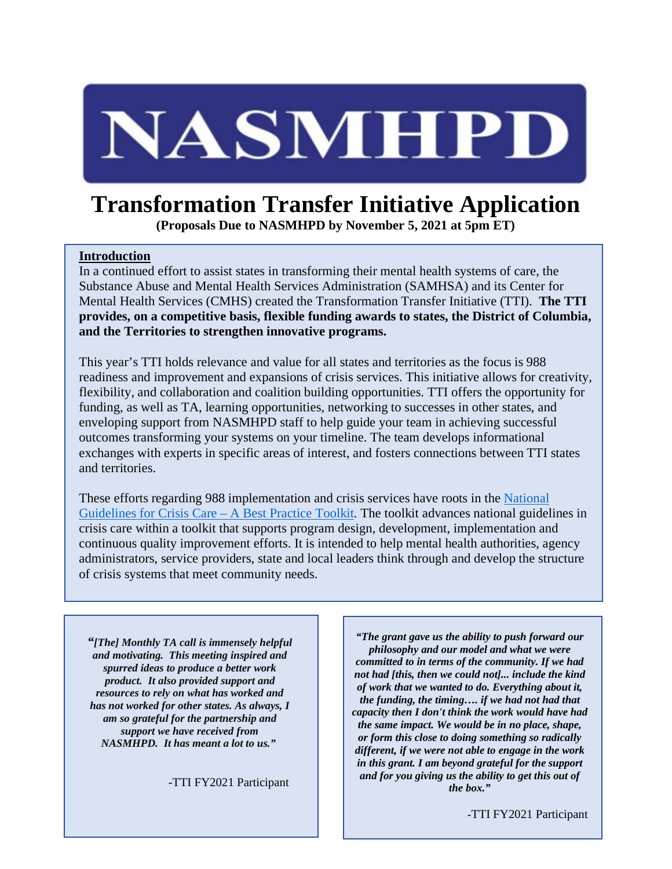# NASMHPD

# **Transformation Transfer Initiative Application**

**(Proposals Due to NASMHPD by November 5, 2021 at 5pm ET)**

### **Introduction**

In a continued effort to assist states in transforming their mental health systems of care, the Substance Abuse and Mental Health Services Administration (SAMHSA) and its Center for Mental Health Services (CMHS) created the Transformation Transfer Initiative (TTI). **The TTI provides, on a competitive basis, flexible funding awards to states, the District of Columbia, and the Territories to strengthen innovative programs.**

This year's TTI holds relevance and value for all states and territories as the focus is 988 readiness and improvement and expansions of crisis services. This initiative allows for creativity, flexibility, and collaboration and coalition building opportunities. TTI offers the opportunity for funding, as well as TA, learning opportunities, networking to successes in other states, and enveloping support from NASMHPD staff to help guide your team in achieving successful outcomes transforming your systems on your timeline. The team develops informational exchanges with experts in specific areas of interest, and fosters connections between TTI states and territories.

These efforts regarding 988 implementation and crisis services have roots in the [National](https://www.samhsa.gov/sites/default/files/national-guidelines-for-behavioral-health-crisis-care-02242020.pdf)  [Guidelines for Crisis Care –](https://www.samhsa.gov/sites/default/files/national-guidelines-for-behavioral-health-crisis-care-02242020.pdf) A Best Practice Toolkit. The toolkit advances national guidelines in crisis care within a toolkit that supports program design, development, implementation and continuous quality improvement efforts. It is intended to help mental health authorities, agency administrators, service providers, state and local leaders think through and develop the structure of crisis systems that meet community needs.

*"[The] Monthly TA call is immensely helpful and motivating. This meeting inspired and spurred ideas to produce a better work product. It also provided support and resources to rely on what has worked and has not worked for other states. As always, I am so grateful for the partnership and support we have received from NASMHPD. It has meant a lot to us."*

*-*TTI FY2021 Participant

*"The grant gave us the ability to push forward our philosophy and our model and what we were committed to in terms of the community. If we had not had [this, then we could not]... include the kind of work that we wanted to do. Everything about it, the funding, the timing…. if we had not had that capacity then I don't think the work would have had the same impact. We would be in no place, shape, or form this close to doing something so radically different, if we were not able to engage in the work in this grant. I am beyond grateful for the support and for you giving us the ability to get this out of the box."*

*-*TTI FY2021 Participant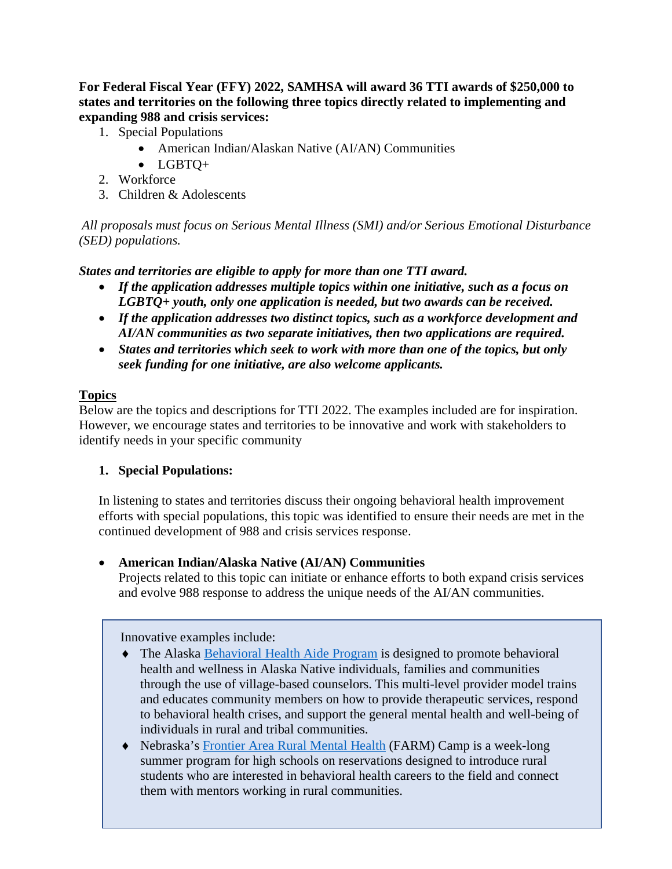**For Federal Fiscal Year (FFY) 2022, SAMHSA will award 36 TTI awards of \$250,000 to states and territories on the following three topics directly related to implementing and expanding 988 and crisis services:**

- 1. Special Populations
	- American Indian/Alaskan Native (AI/AN) Communities
	- LGBTQ+
- 2. Workforce
- 3. Children & Adolescents

*All proposals must focus on Serious Mental Illness (SMI) and/or Serious Emotional Disturbance (SED) populations.*

*States and territories are eligible to apply for more than one TTI award.* 

- *If the application addresses multiple topics within one initiative, such as a focus on LGBTQ+ youth, only one application is needed, but two awards can be received.*
- *If the application addresses two distinct topics, such as a workforce development and AI/AN communities as two separate initiatives, then two applications are required.*
- *States and territories which seek to work with more than one of the topics, but only seek funding for one initiative, are also welcome applicants.*

# **Topics**

Below are the topics and descriptions for TTI 2022. The examples included are for inspiration. However, we encourage states and territories to be innovative and work with stakeholders to identify needs in your specific community

# **1. Special Populations:**

In listening to states and territories discuss their ongoing behavioral health improvement efforts with special populations, this topic was identified to ensure their needs are met in the continued development of 988 and crisis services response.

# • **American Indian/Alaska Native (AI/AN) Communities**

Projects related to this topic can initiate or enhance efforts to both expand crisis services and evolve 988 response to address the unique needs of the AI/AN communities.

Innovative examples include:

- ♦ The Alaska [Behavioral Health Aide Program](https://anthc.org/behavioral-health-aide-program/) is designed to promote behavioral health and wellness in Alaska Native individuals, families and communities through the use of village-based counselors. This multi-level provider model trains and educates community members on how to provide therapeutic services, respond to behavioral health crises, and support the general mental health and well-being of individuals in rural and tribal communities.
- ♦ Nebraska's [Frontier Area Rural Mental Health](https://www.unmc.edu/bhecn/programs/ambassador-program/FARM-CAMP.html) (FARM) Camp is a week-long summer program for high schools on reservations designed to introduce rural students who are interested in behavioral health careers to the field and connect them with mentors working in rural communities.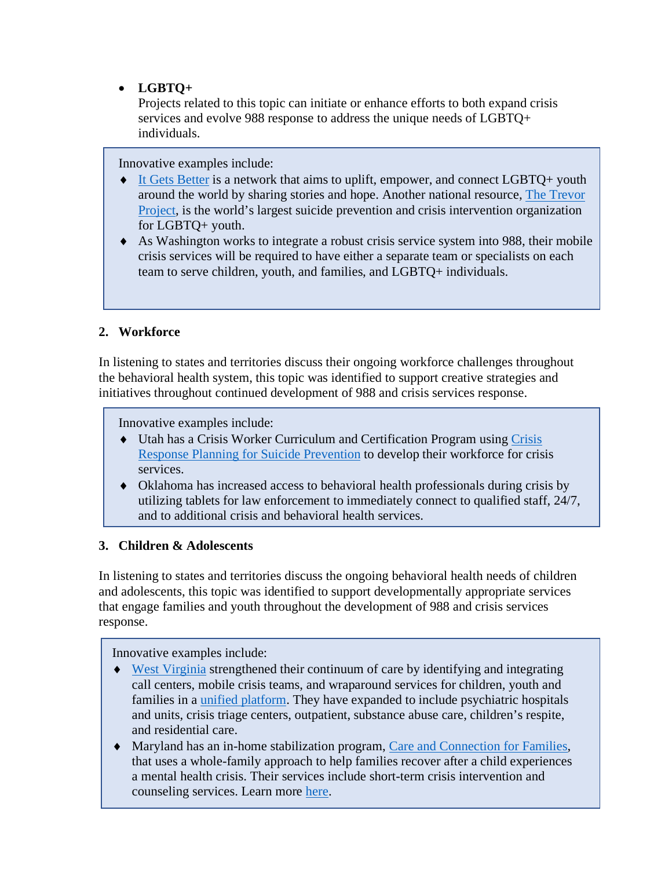• **LGBTQ+** 

Projects related to this topic can initiate or enhance efforts to both expand crisis services and evolve 988 response to address the unique needs of LGBTQ+ individuals.

Innovative examples include:

- ♦ [It Gets Better](https://itgetsbetter.org/) is a network that aims to uplift, empower, and connect LGBTQ+ youth around the world by sharing stories and hope. Another national resource, [The Trevor](https://www.thetrevorproject.org/)  [Project,](https://www.thetrevorproject.org/) is the world's largest suicide prevention and crisis intervention organization for LGBTQ+ youth.
- ♦ As Washington works to integrate a robust crisis service system into 988, their mobile crisis services will be required to have either a separate team or specialists on each team to serve children, youth, and families, and LGBTQ+ individuals.

# **2. Workforce**

In listening to states and territories discuss their ongoing workforce challenges throughout the behavioral health system, this topic was identified to support creative strategies and initiatives throughout continued development of 988 and crisis services response.

Innovative examples include:

- ♦ Utah has a Crisis Worker Curriculum and Certification Program using [Crisis](https://crpforsuicide.com/about)  [Response Planning for Suicide Prevention](https://crpforsuicide.com/about) to develop their workforce for crisis services.
- ♦ Oklahoma has increased access to behavioral health professionals during crisis by utilizing tablets for law enforcement to immediately connect to qualified staff, 24/7, and to additional crisis and behavioral health services.

# **3. Children & Adolescents**

In listening to states and territories discuss the ongoing behavioral health needs of children and adolescents, this topic was identified to support developmentally appropriate services that engage families and youth throughout the development of 988 and crisis services response.

Innovative examples include:

- ♦ [West Virginia](https://www.nasmhpd.org/sites/default/files/WestVirginia_BedRegistry.pdf) strengthened their continuum of care by identifying and integrating call centers, mobile crisis teams, and wraparound services for children, youth and families in a [unified platform.](https://www.help4wv.com/resources) They have expanded to include psychiatric hospitals and units, crisis triage centers, outpatient, substance abuse care, children's respite, and residential care.
- ♦ Maryland has an in-home stabilization program, [Care and Connection for Families,](https://www.sheppardpratt.org/care-finder/care-and-connections-for-families/) that uses a whole-family approach to help families recover after a child experiences a mental health crisis. Their services include short-term crisis intervention and counseling services. Learn more [here.](https://talk.crisisnow.com/why-in-home-crisis-stabilization-for-kids-is-integral-to-the-mental-health-crisis-system/)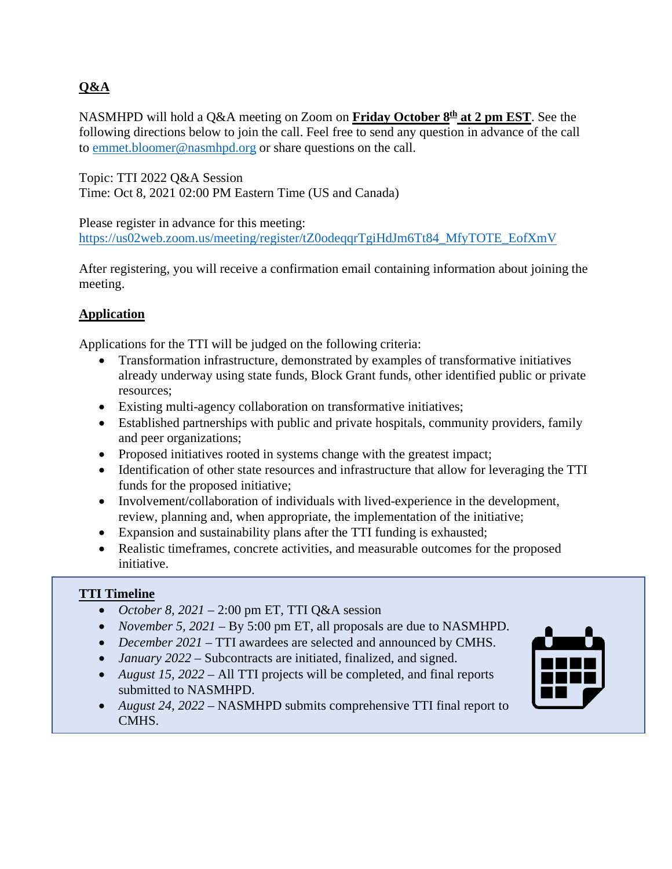# **Q&A**

NASMHPD will hold a Q&A meeting on Zoom on **Friday October 8th at 2 pm EST**. See the following directions below to join the call. Feel free to send any question in advance of the call to [emmet.bloomer@nasmhpd.org](mailto:emmet.bloomer@nasmhpd.org) or share questions on the call.

Topic: TTI 2022 Q&A Session Time: Oct 8, 2021 02:00 PM Eastern Time (US and Canada)

Please register in advance for this meeting: [https://us02web.zoom.us/meeting/register/tZ0odeqqrTgiHdJm6Tt84\\_MfyTOTE\\_EofXmV](https://us02web.zoom.us/meeting/register/tZ0odeqqrTgiHdJm6Tt84_MfyTOTE_EofXmV) 

After registering, you will receive a confirmation email containing information about joining the meeting.

# **Application**

Applications for the TTI will be judged on the following criteria:

- Transformation infrastructure, demonstrated by examples of transformative initiatives already underway using state funds, Block Grant funds, other identified public or private resources;
- Existing multi-agency collaboration on transformative initiatives;
- Established partnerships with public and private hospitals, community providers, family and peer organizations;
- Proposed initiatives rooted in systems change with the greatest impact;
- Identification of other state resources and infrastructure that allow for leveraging the TTI funds for the proposed initiative;
- Involvement/collaboration of individuals with lived-experience in the development, review, planning and, when appropriate, the implementation of the initiative;
- Expansion and sustainability plans after the TTI funding is exhausted;
- Realistic timeframes, concrete activities, and measurable outcomes for the proposed initiative.

# **TTI Timeline**

- *October 8, 2021* 2:00 pm ET, TTI Q&A session
- *November 5, 2021* By 5:00 pm ET, all proposals are due to NASMHPD.
- *December 2021* TTI awardees are selected and announced by CMHS.
- *January 2022* Subcontracts are initiated, finalized, and signed.
- *August 15, 2022 All TTI projects will be completed, and final reports* submitted to NASMHPD.
- *August 24, 2022* NASMHPD submits comprehensive TTI final report to CMHS.

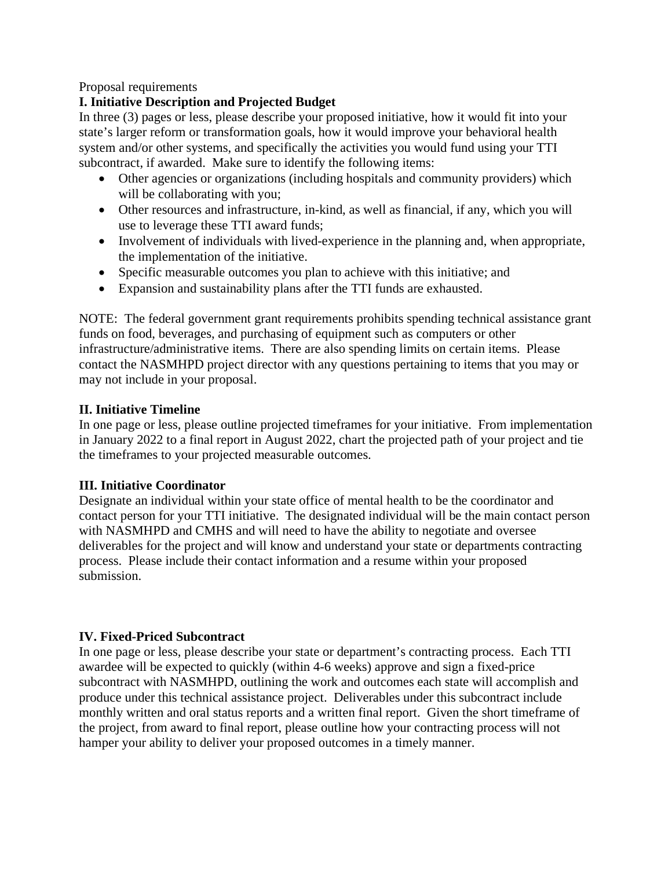#### Proposal requirements

# **I. Initiative Description and Projected Budget**

In three (3) pages or less, please describe your proposed initiative, how it would fit into your state's larger reform or transformation goals, how it would improve your behavioral health system and/or other systems, and specifically the activities you would fund using your TTI subcontract, if awarded. Make sure to identify the following items:

- Other agencies or organizations (including hospitals and community providers) which will be collaborating with you;
- Other resources and infrastructure, in-kind, as well as financial, if any, which you will use to leverage these TTI award funds;
- Involvement of individuals with lived-experience in the planning and, when appropriate, the implementation of the initiative.
- Specific measurable outcomes you plan to achieve with this initiative; and
- Expansion and sustainability plans after the TTI funds are exhausted.

NOTE: The federal government grant requirements prohibits spending technical assistance grant funds on food, beverages, and purchasing of equipment such as computers or other infrastructure/administrative items. There are also spending limits on certain items. Please contact the NASMHPD project director with any questions pertaining to items that you may or may not include in your proposal.

### **II. Initiative Timeline**

In one page or less, please outline projected timeframes for your initiative. From implementation in January 2022 to a final report in August 2022, chart the projected path of your project and tie the timeframes to your projected measurable outcomes.

#### **III. Initiative Coordinator**

Designate an individual within your state office of mental health to be the coordinator and contact person for your TTI initiative. The designated individual will be the main contact person with NASMHPD and CMHS and will need to have the ability to negotiate and oversee deliverables for the project and will know and understand your state or departments contracting process. Please include their contact information and a resume within your proposed submission.

# **IV. Fixed-Priced Subcontract**

In one page or less, please describe your state or department's contracting process. Each TTI awardee will be expected to quickly (within 4-6 weeks) approve and sign a fixed-price subcontract with NASMHPD, outlining the work and outcomes each state will accomplish and produce under this technical assistance project. Deliverables under this subcontract include monthly written and oral status reports and a written final report. Given the short timeframe of the project, from award to final report, please outline how your contracting process will not hamper your ability to deliver your proposed outcomes in a timely manner.